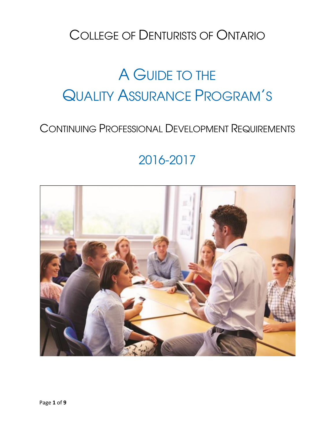## COLLEGE OF DENTURISTS OF ONTARIO

# A GUIDE TO THE QUALITY ASSURANCE PROGRAM'S

## CONTINUING PROFESSIONAL DEVELOPMENT REQUIREMENTS

## 2016-2017

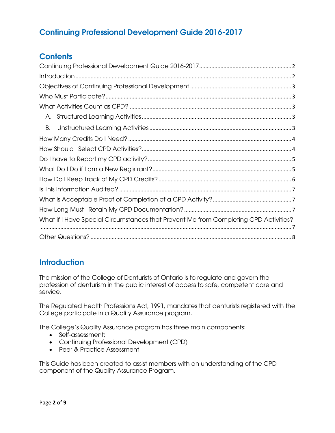## <span id="page-1-0"></span>**Continuing Professional Development Guide 2016-2017**

## **Contents**

| А.                                                                                   |
|--------------------------------------------------------------------------------------|
| В.                                                                                   |
|                                                                                      |
|                                                                                      |
|                                                                                      |
|                                                                                      |
|                                                                                      |
|                                                                                      |
|                                                                                      |
|                                                                                      |
| What if I Have Special Circumstances that Prevent Me from Completing CPD Activities? |
|                                                                                      |

## <span id="page-1-1"></span>**Introduction**

The mission of the College of Denturists of Ontario is to regulate and govern the profession of denturism in the public interest of access to safe, competent care and service.

The Regulated Health Professions Act, 1991, mandates that denturists registered with the College participate in a Quality Assurance program.

The College's Quality Assurance program has three main components:

- Self-assessment;
- Continuing Professional Development (CPD)
- Peer & Practice Assessment

This Guide has been created to assist members with an understanding of the CPD component of the Quality Assurance Program.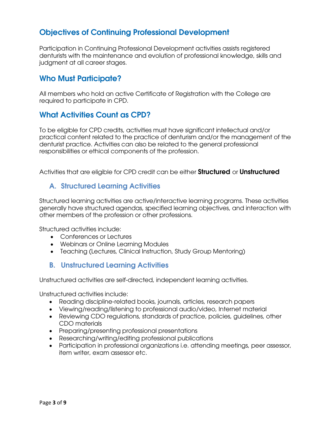## <span id="page-2-0"></span>**Objectives of Continuing Professional Development**

Participation in Continuing Professional Development activities assists registered denturists with the maintenance and evolution of professional knowledge, skills and judgment at all career stages.

#### <span id="page-2-1"></span>**Who Must Participate?**

All members who hold an active Certificate of Registration with the College are required to participate in CPD.

#### <span id="page-2-2"></span>**What Activities Count as CPD?**

To be eligible for CPD credits, activities must have significant intellectual and/or practical content related to the practice of denturism and/or the management of the denturist practice. Activities can also be related to the general professional responsibilities or ethical components of the profession.

Activities that are eligible for CPD credit can be either **Structured** or **Unstructured**

#### <span id="page-2-3"></span>**A. Structured Learning Activities**

Structured learning activities are active/interactive learning programs. These activities generally have structured agendas, specified learning objectives, and interaction with other members of the profession or other professions.

Structured activities include:

- Conferences or Lectures
- Webinars or Online Learning Modules
- Teaching (Lectures, Clinical Instruction, Study Group Mentoring)

#### <span id="page-2-4"></span>**B. Unstructured Learning Activities**

Unstructured activities are self-directed, independent learning activities.

Unstructured activities include:

- Reading discipline-related books, journals, articles, research papers
- Viewing/reading/listening to professional audio/video, Internet material
- Reviewing CDO regulations, standards of practice, policies, guidelines, other CDO materials
- Preparing/presenting professional presentations
- Researching/writing/editing professional publications
- Participation in professional organizations i.e. attending meetings, peer assessor, item writer, exam assessor etc.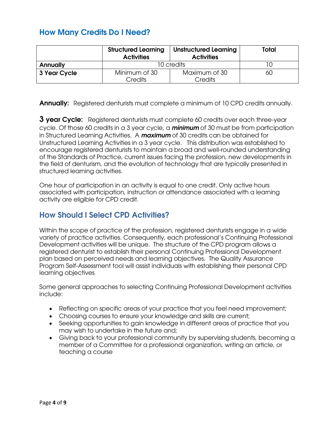## <span id="page-3-0"></span>**How Many Credits Do I Need?**

|                 | <b>Structured Learning</b><br><b>Activities</b> | <b>Unstructured Learning</b><br><b>Activities</b> | Total |
|-----------------|-------------------------------------------------|---------------------------------------------------|-------|
| <b>Annually</b> | 10 credits                                      |                                                   |       |
| 3 Year Cycle    | Minimum of 30<br>Credits                        | Maximum of 30<br>Credits                          | 60    |

**Annually:** Registered denturists must complete a minimum of 10 CPD credits annually.

**3 year Cycle:** Registered denturists must complete 60 credits over each three-year cycle. Of those 60 credits in a 3 year cycle, a *minimum* of 30 must be from participation in Structured Learning Activities. A *maximum* of 30 credits can be obtained for Unstructured Learning Activities in a 3 year cycle. This distribution was established to encourage registered denturists to maintain a broad and well-rounded understanding of the Standards of Practice, current issues facing the profession, new developments in the field of denturism, and the evolution of technology that are typically presented in structured learning activities.

One hour of participation in an activity is equal to one credit. Only active hours associated with participation, instruction or attendance associated with a learning activity are eligible for CPD credit.

#### <span id="page-3-1"></span>**How Should I Select CPD Activities?**

Within the scope of practice of the profession, registered denturists engage in a wide variety of practice activities. Consequently, each professional's Continuing Professional Development activities will be unique. The structure of the CPD program allows a registered denturist to establish their personal Continuing Professional Development plan based on perceived needs and learning objectives. The Quality Assurance Program Self-Assessment tool will assist individuals with establishing their personal CPD learning objectives*.* 

Some general approaches to selecting Continuing Professional Development activities include:

- Reflecting on specific areas of your practice that you feel need improvement;
- Choosing courses to ensure your knowledge and skills are current;
- Seeking opportunities to gain knowledge in different areas of practice that you may wish to undertake in the future and;
- <span id="page-3-2"></span> Giving back to your professional community by supervising students, becoming a member of a Committee for a professional organization, writing an article, or teaching a course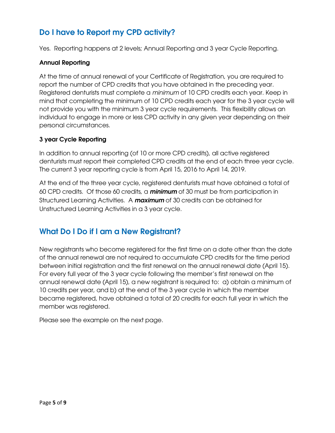## **Do I have to Report my CPD activity?**

Yes. Reporting happens at 2 levels; Annual Reporting and 3 year Cycle Reporting.

#### **Annual Reporting**

At the time of annual renewal of your Certificate of Registration, you are required to report the number of CPD credits that you have obtained in the preceding year. Registered denturists must complete a *minimum* of 10 CPD credits each year. Keep in mind that completing the minimum of 10 CPD credits each year for the 3 year cycle will not provide you with the minimum 3 year cycle requirements. This flexibility allows an individual to engage in more or less CPD activity in any given year depending on their personal circumstances.

#### **3 year Cycle Reporting**

In addition to annual reporting (of 10 or more CPD credits), all active registered denturists must report their completed CPD credits at the end of each three year cycle. The current 3 year reporting cycle is from April 15, 2016 to April 14, 2019.

At the end of the three year cycle, registered denturists must have obtained a total of 60 CPD credits. Of those 60 credits, a *minimum* of 30 must be from participation in Structured Learning Activities. A *maximum* of 30 credits can be obtained for Unstructured Learning Activities in a 3 year cycle.

## <span id="page-4-0"></span>**What Do I Do if I am a New Registrant?**

New registrants who become registered for the first time on a date other than the date of the annual renewal are not required to accumulate CPD credits for the time period between initial registration and the first renewal on the annual renewal date (April 15). For every full year of the 3 year cycle following the member's first renewal on the annual renewal date (April 15), a new registrant is required to: a) obtain a minimum of 10 credits per year, and b) at the end of the 3 year cycle in which the member became registered, have obtained a total of 20 credits for each full year in which the member was registered.

Please see the example on the next page.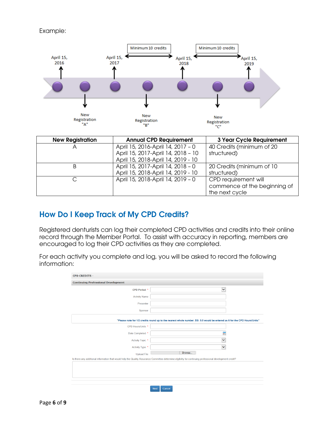#### Example:



| <b>New Registration</b> | <b>Annual CPD Requirement</b>      | <b>3 Year Cycle Requirement</b> |
|-------------------------|------------------------------------|---------------------------------|
| Α                       | April 15, 2016-April 14, 2017 - 0  | 40 Credits (minimum of 20       |
|                         | April 15, 2017-April 14, 2018 - 10 | structured)                     |
|                         | April 15, 2018-April 14, 2019 - 10 |                                 |
| B                       | April 15, 2017-April 14, 2018 - 0  | 20 Credits (minimum of 10       |
|                         | April 15, 2018-April 14, 2019 - 10 | structured)                     |
|                         | April 15, 2018-April 14, 2019 - 0  | CPD requirement will            |
|                         |                                    | commence at the beginning of    |
|                         |                                    | the next cycle                  |

### <span id="page-5-0"></span>**How Do I Keep Track of My CPD Credits?**

Registered denturists can log their completed CPD activities and credits into their online record through the Member Portal. To assist with accuracy in reporting, members are encouraged to log their CPD activities as they are completed.

For each activity you complete and log, you will be asked to record the following information:

| <b>CPD CREDITS -</b>                                                                                                      |                                                                                                                                                          |  |  |  |  |
|---------------------------------------------------------------------------------------------------------------------------|----------------------------------------------------------------------------------------------------------------------------------------------------------|--|--|--|--|
| <b>Continuing Professional Development</b>                                                                                |                                                                                                                                                          |  |  |  |  |
| CPD Period *                                                                                                              | $\overline{\mathbf{v}}$                                                                                                                                  |  |  |  |  |
| <b>Activity Name</b>                                                                                                      |                                                                                                                                                          |  |  |  |  |
| Presenter                                                                                                                 |                                                                                                                                                          |  |  |  |  |
| Sponsor                                                                                                                   |                                                                                                                                                          |  |  |  |  |
| "Please note for 1/2 credits round up to the nearest whole number. EG: 5.5 would be entered as 6 for the CPD Hours/Units" |                                                                                                                                                          |  |  |  |  |
| CPD Hours/Units *                                                                                                         |                                                                                                                                                          |  |  |  |  |
| Date Completed *                                                                                                          | ÷                                                                                                                                                        |  |  |  |  |
| Activity Topic                                                                                                            | $\checkmark$                                                                                                                                             |  |  |  |  |
| Activity Type *                                                                                                           | $\overline{\mathbf{v}}$                                                                                                                                  |  |  |  |  |
| <b>Upload File</b>                                                                                                        | Browse                                                                                                                                                   |  |  |  |  |
|                                                                                                                           | Is there any additional information that would help the Quality Assurance Committee determine elgibility for continuing professional development credit? |  |  |  |  |
|                                                                                                                           |                                                                                                                                                          |  |  |  |  |
|                                                                                                                           | <b>Next</b><br>Cancel                                                                                                                                    |  |  |  |  |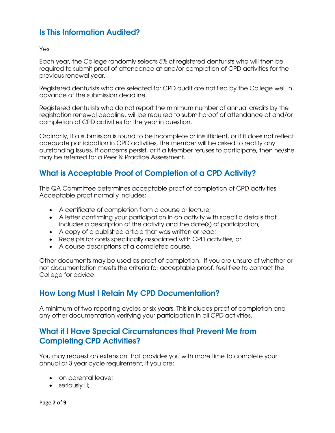## <span id="page-6-0"></span>**Is This Information Audited?**

Yes.

Each year, the College randomly selects 5% of registered denturists who will then be required to submit proof of attendance at and/or completion of CPD activities for the previous renewal year.

Registered denturists who are selected for CPD audit are notified by the College well in advance of the submission deadline.

Registered denturists who do not report the minimum number of annual credits by the registration renewal deadline, will be required to submit proof of attendance at and/or completion of CPD activities for the year in question.

Ordinarily, if a submission is found to be incomplete or insufficient, or if it does not reflect adequate participation in CPD activities, the member will be asked to rectify any outstanding issues. If concerns persist, or if a Member refuses to participate, then he/she may be referred for a Peer & Practice Assessment.

## <span id="page-6-1"></span>**What is Acceptable Proof of Completion of a CPD Activity?**

The QA Committee determines acceptable proof of completion of CPD activities. Acceptable proof normally includes:

- A certificate of completion from a course or lecture;
- A letter confirming your participation in an activity with specific details that includes a description of the activity and the date(s) of participation;
- A copy of a published article that was written or read;
- Receipts for costs specifically associated with CPD activities; or
- A course descriptions of a completed course.

Other documents may be used as proof of completion. If you are unsure of whether or not documentation meets the criteria for acceptable proof, feel free to contact the College for advice.

#### <span id="page-6-2"></span>**How Long Must I Retain My CPD Documentation?**

A minimum of two reporting cycles or six years. This includes proof of completion and any other documentation verifying your participation in all CPD activities.

### <span id="page-6-3"></span>**What if I Have Special Circumstances that Prevent Me from Completing CPD Activities?**

You may request an extension that provides you with more time to complete your annual or 3 year cycle requirement, if you are:

- on parental leave;
- seriously ill;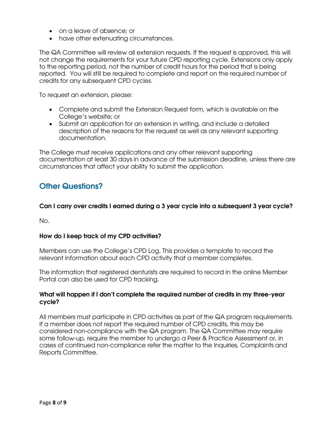- on a leave of absence; or
- have other extenuating circumstances.

The QA Committee will review all extension requests. If the request is approved, this will not change the requirements for your future CPD reporting cycle. Extensions only apply to the reporting period, not the number of credit hours for the period that is being reported. You will still be required to complete and report on the required number of credits for any subsequent CPD cycles.

To request an extension, please:

- Complete and submit the Extension Request form, which is available on the College's website; or
- Submit an application for an extension in writing, and include a detailed description of the reasons for the request as well as any relevant supporting documentation.

The College must receive applications and any other relevant supporting documentation at least 30 days in advance of the submission deadline, unless there are circumstances that affect your ability to submit the application.

#### <span id="page-7-0"></span>**Other Questions?**

#### **Can I carry over credits I earned during a 3 year cycle into a subsequent 3 year cycle?**

No.

#### **How do I keep track of my CPD activities?**

Members can use the College's CPD Log. This provides a template to record the relevant information about each CPD activity that a member completes.

The information that registered denturists are required to record in the online Member Portal can also be used for CPD tracking.

#### **What will happen if I don't complete the required number of credits in my three-year cycle?**

All members must participate in CPD activities as part of the QA program requirements. If a member does not report the required number of CPD credits, this may be considered non-compliance with the QA program. The QA Committee may require some follow-up, require the member to undergo a Peer & Practice Assessment or, in cases of continued non-compliance refer the matter to the Inquiries, Complaints and Reports Committee.